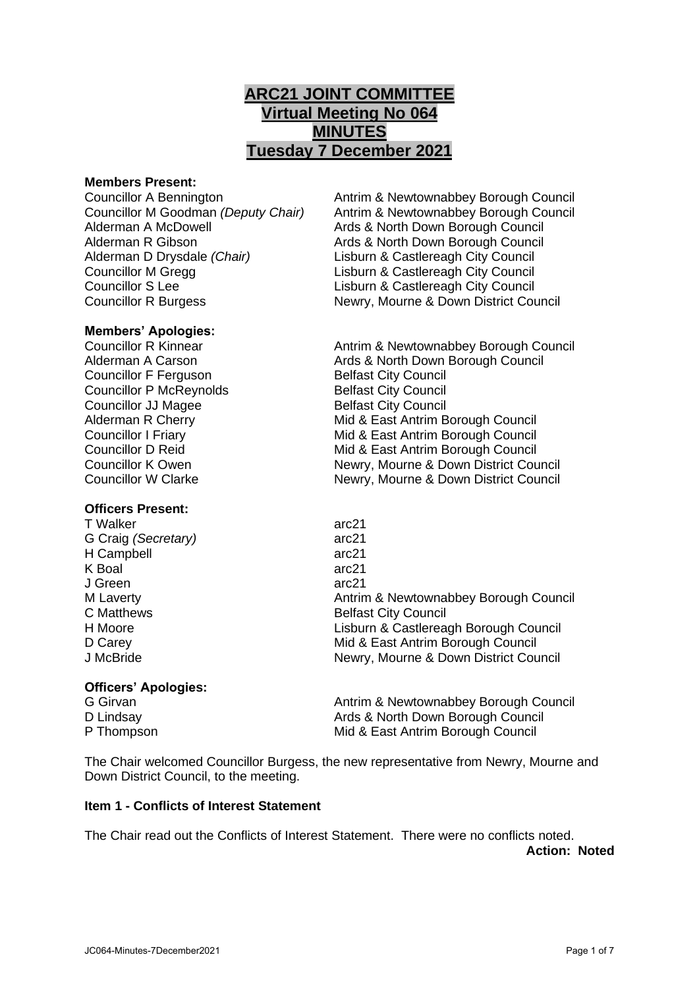# **ARC21 JOINT COMMITTEE Virtual Meeting No 064 MINUTES Tuesday 7 December 2021**

#### **Members Present:**

Alderman A McDowell Ards & North Down Borough Council Alderman R Gibson **Ards & North Down Borough Council** Alderman D Drysdale *(Chair)* Lisburn & Castlereagh City Council Councillor M Gregg Lisburn & Castlereagh City Council Councillor S Lee Lisburn & Castlereagh City Council

#### **Members' Apologies:**

**Councillor F Ferguson Council Belfast City Council** Councillor P McReynolds Belfast City Council **Councillor JJ Magee Belfast City Council** 

#### **Officers Present:**

T Walker arc21 G Craig *(Secretary)* arc21 H Campbell arc21 K Boal arc21 J Green arc21<br>M Laverty and the state of the control of the Antrin

#### **Officers' Apologies:**

G Girvan **Antrim & Newtownabbey Borough Council** Antrim & Newtownabbey Borough Council D Lindsay **Ards & North Down Borough Council** Pulled Branch Ards & North Down Borough Council P Thompson **P** Thompson **Mid & East Antrim Borough Council** 

The Chair welcomed Councillor Burgess, the new representative from Newry, Mourne and Down District Council, to the meeting.

# **Item 1 - Conflicts of Interest Statement**

The Chair read out the Conflicts of Interest Statement. There were no conflicts noted. **Action: Noted**

Councillor A Bennington **Antrim & Newtownabbey Borough Council**<br>Councillor M Goodman *(Deputy Chair)* Antrim & Newtownabbey Borough Council Antrim & Newtownabbey Borough Council Councillor R Burgess Newry, Mourne & Down District Council

Councillor R Kinnear **Antrim & Newtownabbey Borough Council** Alderman A Carson **Ards & North Down Borough Council** Alderman R Cherry **Mid & East Antrim Borough Council** Councillor I Friary Mid & East Antrim Borough Council Councillor D Reid Mid & East Antrim Borough Council Councillor K Owen Newry, Mourne & Down District Council Councillor W Clarke Newry, Mourne & Down District Council

Antrim & Newtownabbey Borough Council C Matthews **Belfast City Council** H Moore Lisburn & Castlereagh Borough Council D Carey **D** Carey **Mid & East Antrim Borough Council** J McBride Newry, Mourne & Down District Council

JC064-Minutes-7December2021 Page 1 of 7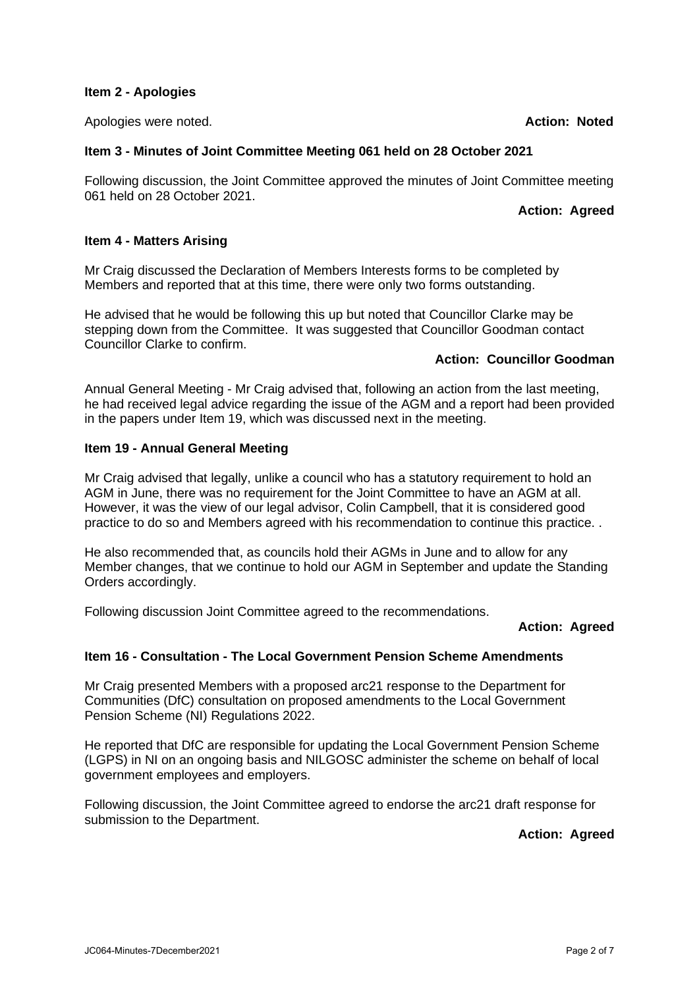#### **Item 2 - Apologies**

Apologies were noted. **Action: Noted**

# **Item 3 - Minutes of Joint Committee Meeting 061 held on 28 October 2021**

Following discussion, the Joint Committee approved the minutes of Joint Committee meeting 061 held on 28 October 2021.

#### **Action: Agreed**

#### **Item 4 - Matters Arising**

Mr Craig discussed the Declaration of Members Interests forms to be completed by Members and reported that at this time, there were only two forms outstanding.

He advised that he would be following this up but noted that Councillor Clarke may be stepping down from the Committee. It was suggested that Councillor Goodman contact Councillor Clarke to confirm.

# **Action: Councillor Goodman**

Annual General Meeting - Mr Craig advised that, following an action from the last meeting, he had received legal advice regarding the issue of the AGM and a report had been provided in the papers under Item 19, which was discussed next in the meeting.

#### **Item 19 - Annual General Meeting**

Mr Craig advised that legally, unlike a council who has a statutory requirement to hold an AGM in June, there was no requirement for the Joint Committee to have an AGM at all. However, it was the view of our legal advisor, Colin Campbell, that it is considered good practice to do so and Members agreed with his recommendation to continue this practice. .

He also recommended that, as councils hold their AGMs in June and to allow for any Member changes, that we continue to hold our AGM in September and update the Standing Orders accordingly.

Following discussion Joint Committee agreed to the recommendations.

#### **Action: Agreed**

# **Item 16 - Consultation - The Local Government Pension Scheme Amendments**

Mr Craig presented Members with a proposed arc21 response to the Department for Communities (DfC) consultation on proposed amendments to the Local Government Pension Scheme (NI) Regulations 2022.

He reported that DfC are responsible for updating the Local Government Pension Scheme (LGPS) in NI on an ongoing basis and NILGOSC administer the scheme on behalf of local government employees and employers.

Following discussion, the Joint Committee agreed to endorse the arc21 draft response for submission to the Department.

# **Action: Agreed**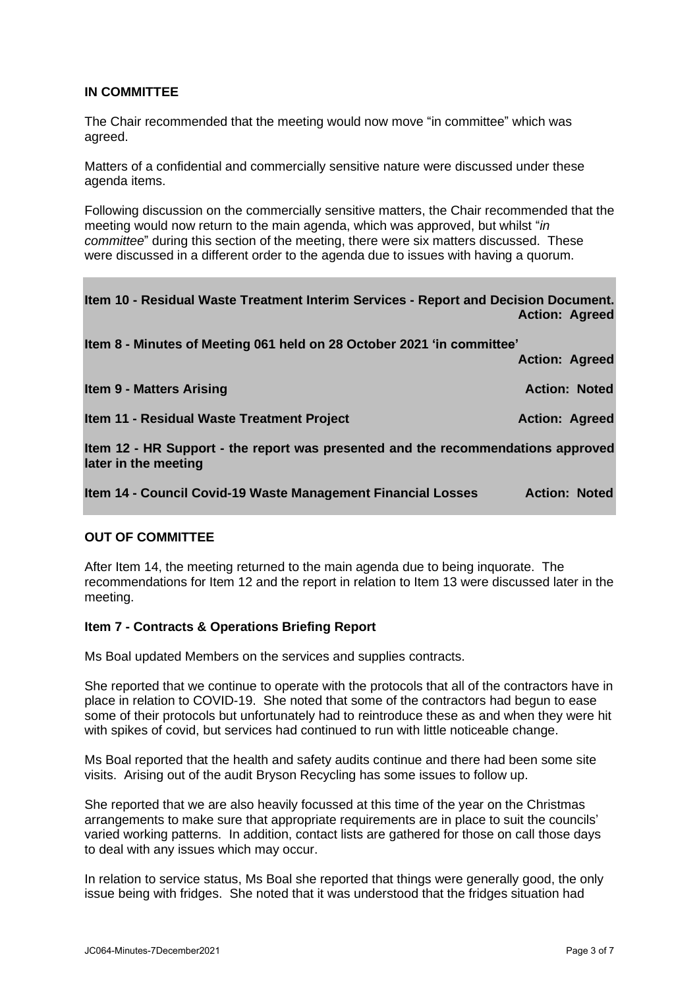# **IN COMMITTEE**

The Chair recommended that the meeting would now move "in committee" which was agreed.

Matters of a confidential and commercially sensitive nature were discussed under these agenda items.

Following discussion on the commercially sensitive matters, the Chair recommended that the meeting would now return to the main agenda, which was approved, but whilst "*in committee*" during this section of the meeting, there were six matters discussed. These were discussed in a different order to the agenda due to issues with having a quorum.

| Item 10 - Residual Waste Treatment Interim Services - Report and Decision Document. | <b>Action: Agreed</b> |  |
|-------------------------------------------------------------------------------------|-----------------------|--|
| Item 8 - Minutes of Meeting 061 held on 28 October 2021 'in committee'              | <b>Action: Agreed</b> |  |
| <b>Item 9 - Matters Arising</b>                                                     | <b>Action: Noted</b>  |  |
| Item 11 - Residual Waste Treatment Project                                          | <b>Action: Agreed</b> |  |
| Item 12 - HR Support - the report was presented and the recommendations approved    |                       |  |
| later in the meeting                                                                |                       |  |
| Item 14 - Council Covid-19 Waste Management Financial Losses                        | <b>Action: Noted</b>  |  |

# **OUT OF COMMITTEE**

After Item 14, the meeting returned to the main agenda due to being inquorate. The recommendations for Item 12 and the report in relation to Item 13 were discussed later in the meeting.

# **Item 7 - Contracts & Operations Briefing Report**

Ms Boal updated Members on the services and supplies contracts.

She reported that we continue to operate with the protocols that all of the contractors have in place in relation to COVID-19. She noted that some of the contractors had begun to ease some of their protocols but unfortunately had to reintroduce these as and when they were hit with spikes of covid, but services had continued to run with little noticeable change.

Ms Boal reported that the health and safety audits continue and there had been some site visits. Arising out of the audit Bryson Recycling has some issues to follow up.

She reported that we are also heavily focussed at this time of the year on the Christmas arrangements to make sure that appropriate requirements are in place to suit the councils' varied working patterns. In addition, contact lists are gathered for those on call those days to deal with any issues which may occur.

In relation to service status, Ms Boal she reported that things were generally good, the only issue being with fridges. She noted that it was understood that the fridges situation had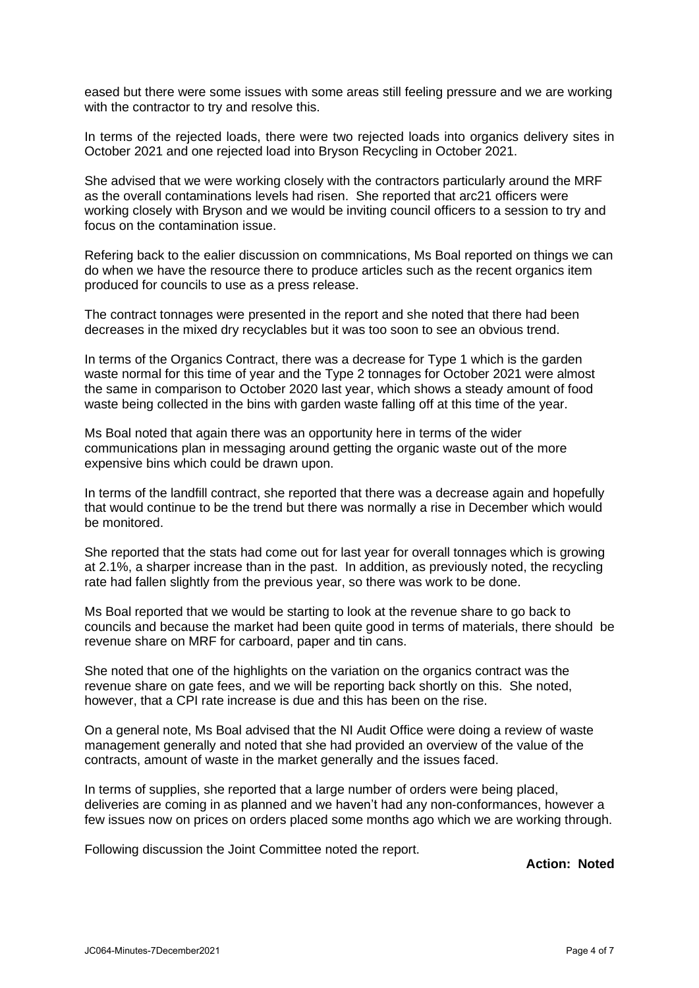eased but there were some issues with some areas still feeling pressure and we are working with the contractor to try and resolve this.

In terms of the rejected loads, there were two rejected loads into organics delivery sites in October 2021 and one rejected load into Bryson Recycling in October 2021.

She advised that we were working closely with the contractors particularly around the MRF as the overall contaminations levels had risen. She reported that arc21 officers were working closely with Bryson and we would be inviting council officers to a session to try and focus on the contamination issue.

Refering back to the ealier discussion on commnications, Ms Boal reported on things we can do when we have the resource there to produce articles such as the recent organics item produced for councils to use as a press release.

The contract tonnages were presented in the report and she noted that there had been decreases in the mixed dry recyclables but it was too soon to see an obvious trend.

In terms of the Organics Contract, there was a decrease for Type 1 which is the garden waste normal for this time of year and the Type 2 tonnages for October 2021 were almost the same in comparison to October 2020 last year, which shows a steady amount of food waste being collected in the bins with garden waste falling off at this time of the year.

Ms Boal noted that again there was an opportunity here in terms of the wider communications plan in messaging around getting the organic waste out of the more expensive bins which could be drawn upon.

In terms of the landfill contract, she reported that there was a decrease again and hopefully that would continue to be the trend but there was normally a rise in December which would be monitored.

She reported that the stats had come out for last year for overall tonnages which is growing at 2.1%, a sharper increase than in the past. In addition, as previously noted, the recycling rate had fallen slightly from the previous year, so there was work to be done.

Ms Boal reported that we would be starting to look at the revenue share to go back to councils and because the market had been quite good in terms of materials, there should be revenue share on MRF for carboard, paper and tin cans.

She noted that one of the highlights on the variation on the organics contract was the revenue share on gate fees, and we will be reporting back shortly on this. She noted, however, that a CPI rate increase is due and this has been on the rise.

On a general note, Ms Boal advised that the NI Audit Office were doing a review of waste management generally and noted that she had provided an overview of the value of the contracts, amount of waste in the market generally and the issues faced.

In terms of supplies, she reported that a large number of orders were being placed, deliveries are coming in as planned and we haven't had any non-conformances, however a few issues now on prices on orders placed some months ago which we are working through.

Following discussion the Joint Committee noted the report.

**Action: Noted**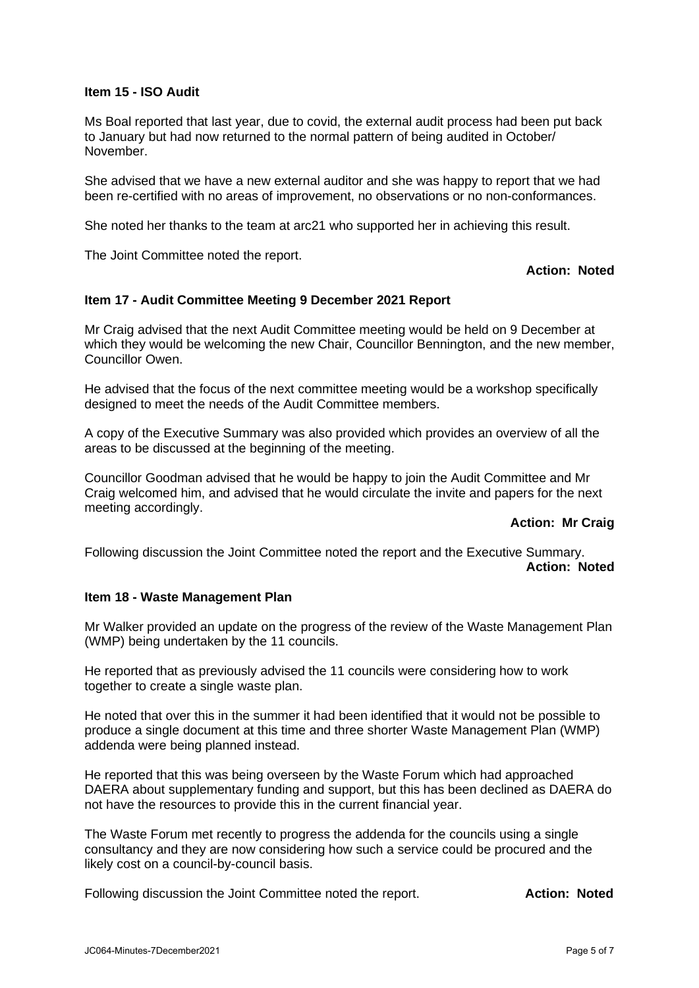#### **Item 15 - ISO Audit**

Ms Boal reported that last year, due to covid, the external audit process had been put back to January but had now returned to the normal pattern of being audited in October/ November.

She advised that we have a new external auditor and she was happy to report that we had been re-certified with no areas of improvement, no observations or no non-conformances.

She noted her thanks to the team at arc21 who supported her in achieving this result.

The Joint Committee noted the report.

#### **Action: Noted**

#### **Item 17 - Audit Committee Meeting 9 December 2021 Report**

Mr Craig advised that the next Audit Committee meeting would be held on 9 December at which they would be welcoming the new Chair, Councillor Bennington, and the new member, Councillor Owen.

He advised that the focus of the next committee meeting would be a workshop specifically designed to meet the needs of the Audit Committee members.

A copy of the Executive Summary was also provided which provides an overview of all the areas to be discussed at the beginning of the meeting.

Councillor Goodman advised that he would be happy to join the Audit Committee and Mr Craig welcomed him, and advised that he would circulate the invite and papers for the next meeting accordingly.

#### **Action: Mr Craig**

Following discussion the Joint Committee noted the report and the Executive Summary. **Action: Noted**

#### **Item 18 - Waste Management Plan**

Mr Walker provided an update on the progress of the review of the Waste Management Plan (WMP) being undertaken by the 11 councils.

He reported that as previously advised the 11 councils were considering how to work together to create a single waste plan.

He noted that over this in the summer it had been identified that it would not be possible to produce a single document at this time and three shorter Waste Management Plan (WMP) addenda were being planned instead.

He reported that this was being overseen by the Waste Forum which had approached DAERA about supplementary funding and support, but this has been declined as DAERA do not have the resources to provide this in the current financial year.

The Waste Forum met recently to progress the addenda for the councils using a single consultancy and they are now considering how such a service could be procured and the likely cost on a council-by-council basis.

Following discussion the Joint Committee noted the report. **Action: Noted**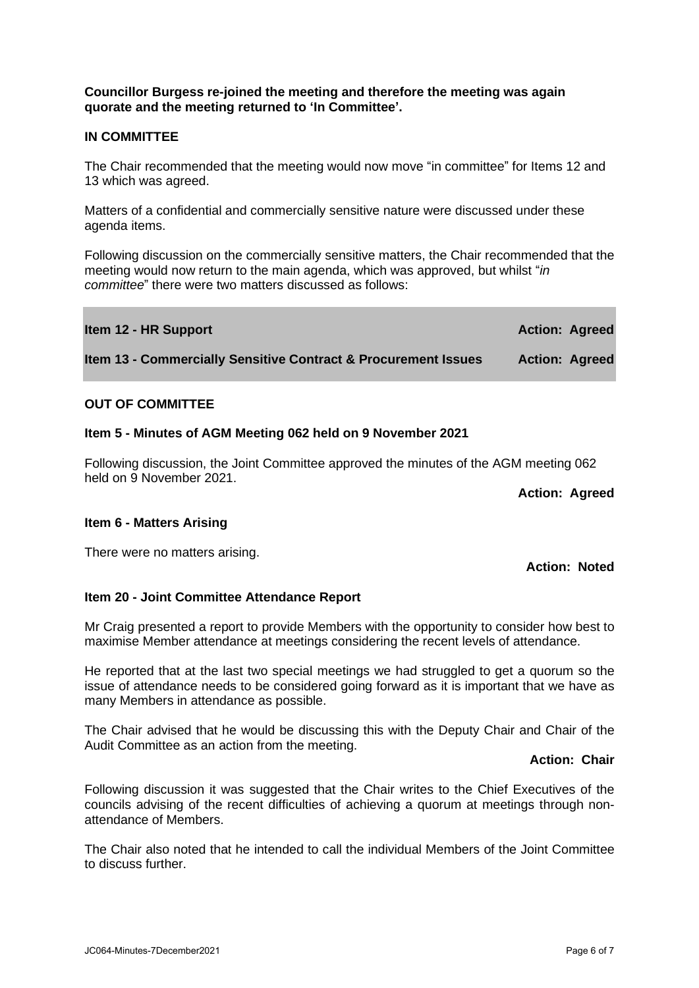#### **Councillor Burgess re-joined the meeting and therefore the meeting was again quorate and the meeting returned to 'In Committee'.**

# **IN COMMITTEE**

The Chair recommended that the meeting would now move "in committee" for Items 12 and 13 which was agreed.

Matters of a confidential and commercially sensitive nature were discussed under these agenda items.

Following discussion on the commercially sensitive matters, the Chair recommended that the meeting would now return to the main agenda, which was approved, but whilst "*in committee*" there were two matters discussed as follows:

| Item 12 - HR Support                                                      | <b>Action: Agreed</b> |  |
|---------------------------------------------------------------------------|-----------------------|--|
| <b>Item 13 - Commercially Sensitive Contract &amp; Procurement Issues</b> | <b>Action: Agreed</b> |  |

# **OUT OF COMMITTEE**

#### **Item 5 - Minutes of AGM Meeting 062 held on 9 November 2021**

Following discussion, the Joint Committee approved the minutes of the AGM meeting 062 held on 9 November 2021.

**Action: Agreed**

**Action: Noted**

# **Item 6 - Matters Arising**

There were no matters arising.

many Members in attendance as possible.

# **Item 20 - Joint Committee Attendance Report**

Mr Craig presented a report to provide Members with the opportunity to consider how best to

He reported that at the last two special meetings we had struggled to get a quorum so the issue of attendance needs to be considered going forward as it is important that we have as

maximise Member attendance at meetings considering the recent levels of attendance.

The Chair advised that he would be discussing this with the Deputy Chair and Chair of the Audit Committee as an action from the meeting.

**Action: Chair**

Following discussion it was suggested that the Chair writes to the Chief Executives of the councils advising of the recent difficulties of achieving a quorum at meetings through nonattendance of Members.

The Chair also noted that he intended to call the individual Members of the Joint Committee to discuss further.